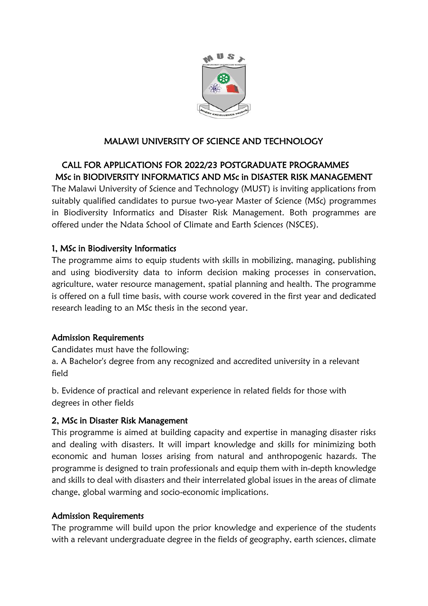

# MALAWI UNIVERSITY OF SCIENCE AND TECHNOLOGY

# CALL FOR APPLICATIONS FOR 2022/23 POSTGRADUATE PROGRAMMES MSc in BIODIVERSITY INFORMATICS AND MSc in DISASTER RISK MANAGEMENT

The Malawi University of Science and Technology (MUST) is inviting applications from suitably qualified candidates to pursue two-year Master of Science (MSc) programmes in Biodiversity Informatics and Disaster Risk Management. Both programmes are offered under the Ndata School of Climate and Earth Sciences (NSCES).

# 1, MSc in Biodiversity Informatics

The programme aims to equip students with skills in mobilizing, managing, publishing and using biodiversity data to inform decision making processes in conservation, agriculture, water resource management, spatial planning and health. The programme is offered on a full time basis, with course work covered in the first year and dedicated research leading to an MSc thesis in the second year.

# Admission Requirements

Candidates must have the following:

a. A Bachelor's degree from any recognized and accredited university in a relevant field

b. Evidence of practical and relevant experience in related fields for those with degrees in other fields

# 2, MSc in Disaster Risk Management

This programme is aimed at building capacity and expertise in managing disaster risks and dealing with disasters. It will impart knowledge and skills for minimizing both economic and human losses arising from natural and anthropogenic hazards. The programme is designed to train professionals and equip them with in-depth knowledge and skills to deal with disasters and their interrelated global issues in the areas of climate change, global warming and socio-economic implications.

# Admission Requirements

The programme will build upon the prior knowledge and experience of the students with a relevant undergraduate degree in the fields of geography, earth sciences, climate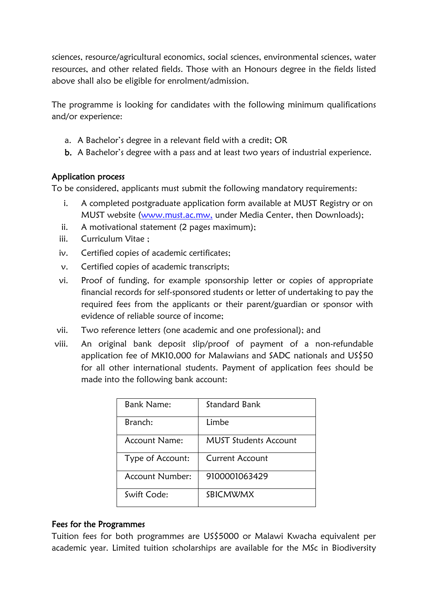sciences, resource/agricultural economics, social sciences, environmental sciences, water resources, and other related fields. Those with an Honours degree in the fields listed above shall also be eligible for enrolment/admission.

The programme is looking for candidates with the following minimum qualifications and/or experience:

- a. A Bachelor's degree in a relevant field with a credit; OR
- b. A Bachelor's degree with a pass and at least two years of industrial experience.

#### Application process

To be considered, applicants must submit the following mandatory requirements:

- i. A completed postgraduate application form available at MUST Registry or on MUST website [\(www.must.ac.mw,](http://www.must.ac.mw/) under Media Center, then Downloads);
- ii. A motivational statement (2 pages maximum);
- iii. Curriculum Vitae ;
- iv. Certified copies of academic certificates;
- v. Certified copies of academic transcripts;
- vi. Proof of funding, for example sponsorship letter or copies of appropriate financial records for self-sponsored students or letter of undertaking to pay the required fees from the applicants or their parent/guardian or sponsor with evidence of reliable source of income;
- vii. Two reference letters (one academic and one professional); and
- viii. An original bank deposit slip/proof of payment of a non-refundable application fee of MK10,000 for Malawians and SADC nationals and US\$50 for all other international students. Payment of application fees should be made into the following bank account:

| <b>Bank Name:</b> | Standard Bank                |
|-------------------|------------------------------|
| Branch:           | Limbe                        |
| Account Name:     | <b>MUST Students Account</b> |
| Type of Account:  | <b>Current Account</b>       |
| Account Number:   | 9100001063429                |
| Swift Code:       | SBICMWMX                     |

#### Fees for the Programmes

Tuition fees for both programmes are US\$5000 or Malawi Kwacha equivalent per academic year. Limited tuition scholarships are available for the MSc in Biodiversity